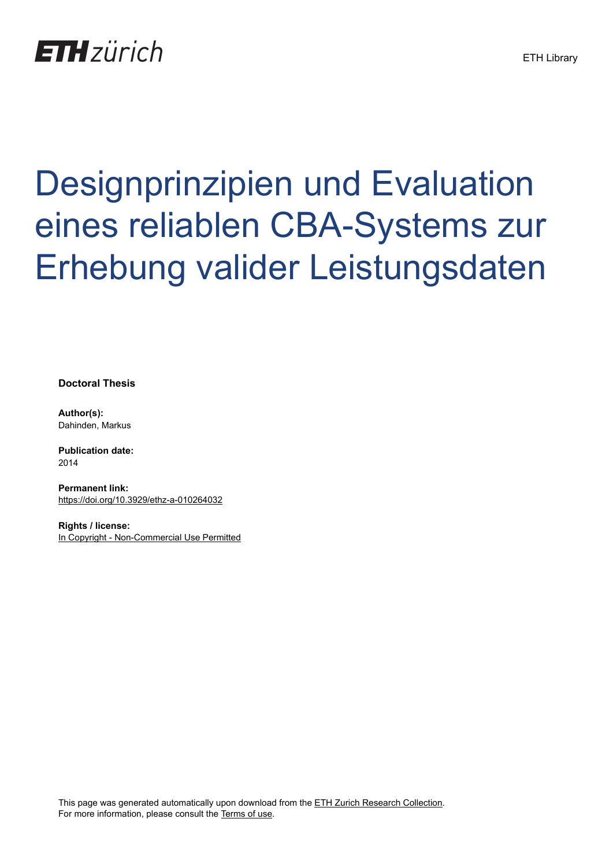

## Designprinzipien und Evaluation eines reliablen CBA-Systems zur Erhebung valider Leistungsdaten

**Doctoral Thesis**

**Author(s):** Dahinden, Markus

**Publication date:** 2014

**Permanent link:** <https://doi.org/10.3929/ethz-a-010264032>

**Rights / license:** [In Copyright - Non-Commercial Use Permitted](http://rightsstatements.org/page/InC-NC/1.0/)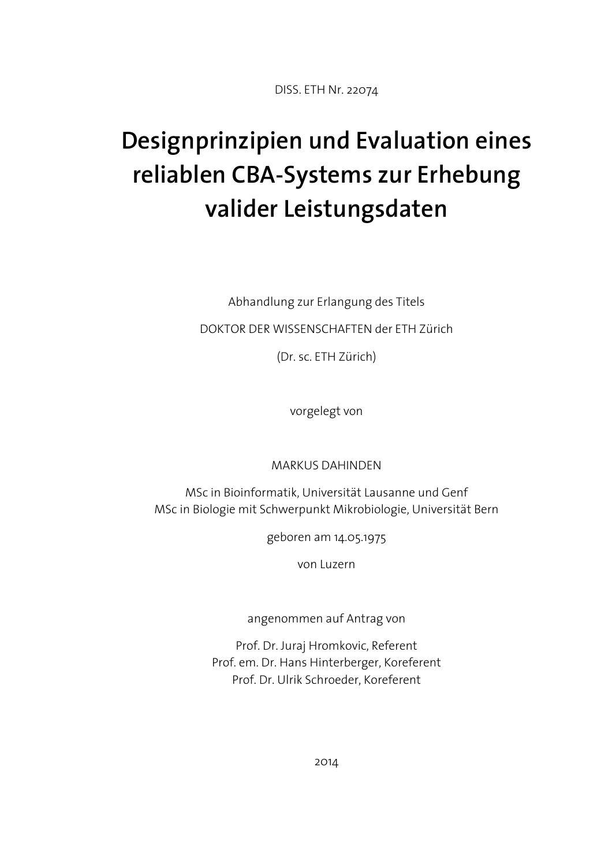DISS. ETH Nr. 22074

## **Designprinzipien und Evaluation eines reliablen CBA-Systems zur Erhebung valider Leistungsdaten**

Abhandlung zur Erlangung des Titels

DOKTOR DER WISSENSCHAFTEN der ETH Zürich

(Dr. sc. ETH Zürich)

vorgelegt von

MARKUS DAHINDEN

MSc in Bioinformatik, Universität Lausanne und Genf MSc in Biologie mit Schwerpunkt Mikrobiologie, Universität Bern

geboren am 14.05.1975

von Luzern

angenommen auf Antrag von

Prof. Dr. Juraj Hromkovic, Referent Prof. em. Dr. Hans Hinterberger, Koreferent Prof. Dr. Ulrik Schroeder, Koreferent

2014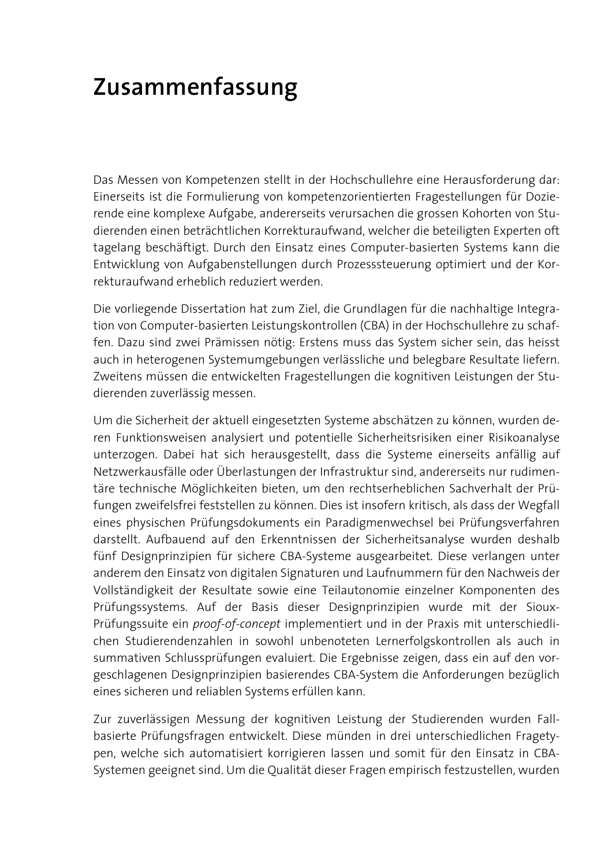## **Zusammenfassung**

Das Messen von Kompetenzen stellt in der Hochschullehre eine Herausforderung dar: Einerseits ist die Formulierung von kompetenzorientierten Fragestellungen für Dozierende eine komplexe Aufgabe, andererseits verursachen die grossen Kohorten von Studierenden einen beträchtlichen Korrekturaufwand, welcher die beteiligten Experten oft tagelang beschäftigt. Durch den Einsatz eines Computer-basierten Systems kann die Entwicklung von Aufgabenstellungen durch Prozesssteuerung optimiert und der Korrekturaufwand erheblich reduziert werden.

Die vorliegende Dissertation hat zum Ziel, die Grundlagen für die nachhaltige Integration von Computer-basierten Leistungskontrollen (CBA) in der Hochschullehre zu schaffen. Dazu sind zwei Prämissen nötig: Erstens muss das System sicher sein, das heisst auch in heterogenen Systemumgebungen verlässliche und belegbare Resultate liefern. Zweitens müssen die entwickelten Fragestellungen die kognitiven Leistungen der Studierenden zuverlässig messen.

Um die Sicherheit der aktuell eingesetzten Systeme abschätzen zu können, wurden deren Funktionsweisen analysiert und potentielle Sicherheitsrisiken einer Risikoanalyse unterzogen. Dabei hat sich herausgestellt, dass die Systeme einerseits anfällig auf Netzwerkausfälle oder Überlastungen der Infrastruktur sind, andererseits nur rudimentäre technische Möglichkeiten bieten, um den rechtserheblichen Sachverhalt der Prüfungen zweifelsfrei feststellen zu können. Dies ist insofern kritisch, als dass der Wegfall eines physischen Prüfungsdokuments ein Paradigmenwechsel bei Prüfungsverfahren darstellt. Aufbauend auf den Erkenntnissen der Sicherheitsanalyse wurden deshalb fünf Designprinzipien für sichere CBA-Systeme ausgearbeitet. Diese verlangen unter anderem den Einsatz von digitalen Signaturen und Laufnummern für den Nachweis der Vollständigkeit der Resultate sowie eine Teilautonomie einzelner Komponenten des Prüfungssystems. Auf der Basis dieser Designprinzipien wurde mit der Sioux-Prüfungssuite ein *proof-of-concept* implementiert und in der Praxis mit unterschiedlichen Studierendenzahlen in sowohl unbenoteten Lernerfolgskontrollen als auch in summativen Schlussprüfungen evaluiert. Die Ergebnisse zeigen, dass ein auf den vorgeschlagenen Designprinzipien basierendes CBA-System die Anforderungen bezüglich eines sicheren und reliablen Systems erfüllen kann.

Zur zuverlässigen Messung der kognitiven Leistung der Studierenden wurden Fallbasierte Prüfungsfragen entwickelt. Diese münden in drei unterschiedlichen Fragetypen, welche sich automatisiert korrigieren lassen und somit für den Einsatz in CBA-Systemen geeignet sind. Um die Qualität dieser Fragen empirisch festzustellen, wurden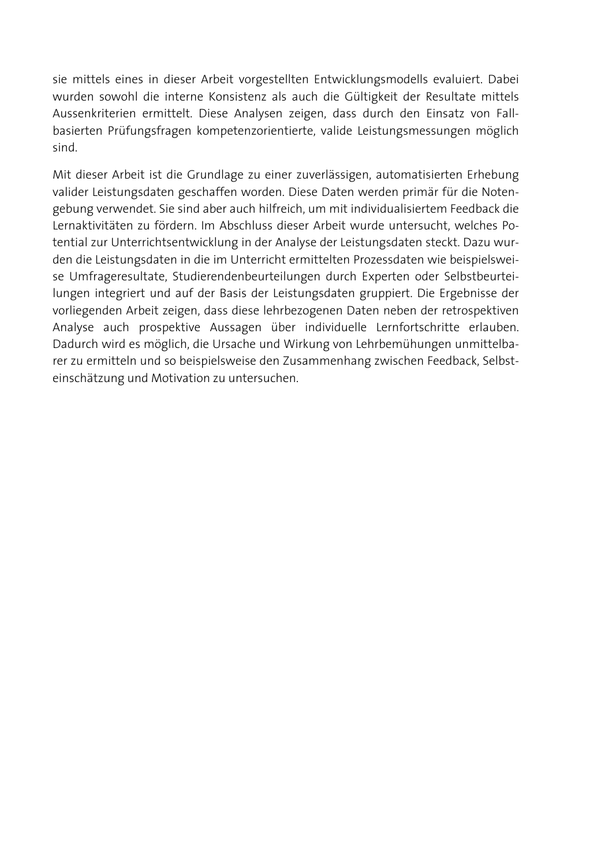sie mittels eines in dieser Arbeit vorgestellten Entwicklungsmodells evaluiert. Dabei wurden sowohl die interne Konsistenz als auch die Gültigkeit der Resultate mittels Aussenkriterien ermittelt. Diese Analysen zeigen, dass durch den Einsatz von Fallbasierten Prüfungsfragen kompetenzorientierte, valide Leistungsmessungen möglich sind.

Mit dieser Arbeit ist die Grundlage zu einer zuverlässigen, automatisierten Erhebung valider Leistungsdaten geschaffen worden. Diese Daten werden primär für die Notengebung verwendet. Sie sind aber auch hilfreich, um mit individualisiertem Feedback die Lernaktivitäten zu fördern. Im Abschluss dieser Arbeit wurde untersucht, welches Potential zur Unterrichtsentwicklung in der Analyse der Leistungsdaten steckt. Dazu wurden die Leistungsdaten in die im Unterricht ermittelten Prozessdaten wie beispielsweise Umfrageresultate, Studierendenbeurteilungen durch Experten oder Selbstbeurteilungen integriert und auf der Basis der Leistungsdaten gruppiert. Die Ergebnisse der vorliegenden Arbeit zeigen, dass diese lehrbezogenen Daten neben der retrospektiven Analyse auch prospektive Aussagen über individuelle Lernfortschritte erlauben. Dadurch wird es möglich, die Ursache und Wirkung von Lehrbemühungen unmittelbarer zu ermitteln und so beispielsweise den Zusammenhang zwischen Feedback, Selbsteinschätzung und Motivation zu untersuchen.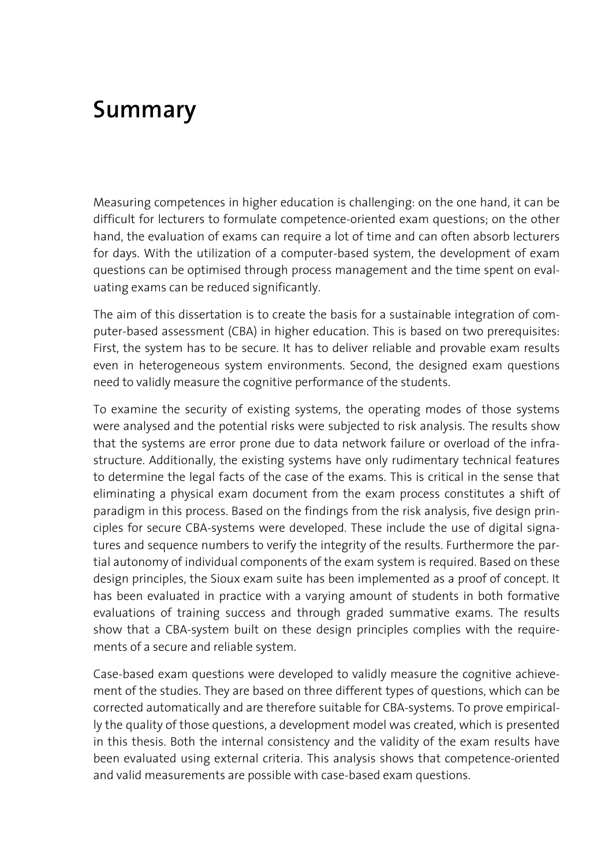## **Summary**

Measuring competences in higher education is challenging: on the one hand, it can be difficult for lecturers to formulate competence-oriented exam questions; on the other hand, the evaluation of exams can require a lot of time and can often absorb lecturers for days. With the utilization of a computer-based system, the development of exam questions can be optimised through process management and the time spent on evaluating exams can be reduced significantly.

The aim of this dissertation is to create the basis for a sustainable integration of computer-based assessment (CBA) in higher education. This is based on two prerequisites: First, the system has to be secure. It has to deliver reliable and provable exam results even in heterogeneous system environments. Second, the designed exam questions need to validly measure the cognitive performance of the students.

To examine the security of existing systems, the operating modes of those systems were analysed and the potential risks were subjected to risk analysis. The results show that the systems are error prone due to data network failure or overload of the infrastructure. Additionally, the existing systems have only rudimentary technical features to determine the legal facts of the case of the exams. This is critical in the sense that eliminating a physical exam document from the exam process constitutes a shift of paradigm in this process. Based on the findings from the risk analysis, five design principles for secure CBA-systems were developed. These include the use of digital signatures and sequence numbers to verify the integrity of the results. Furthermore the partial autonomy of individual components of the exam system is required. Based on these design principles, the Sioux exam suite has been implemented as a proof of concept. It has been evaluated in practice with a varying amount of students in both formative evaluations of training success and through graded summative exams. The results show that a CBA-system built on these design principles complies with the requirements of a secure and reliable system.

Case-based exam questions were developed to validly measure the cognitive achievement of the studies. They are based on three different types of questions, which can be corrected automatically and are therefore suitable for CBA-systems. To prove empirically the quality of those questions, a development model was created, which is presented in this thesis. Both the internal consistency and the validity of the exam results have been evaluated using external criteria. This analysis shows that competence-oriented and valid measurements are possible with case-based exam questions.